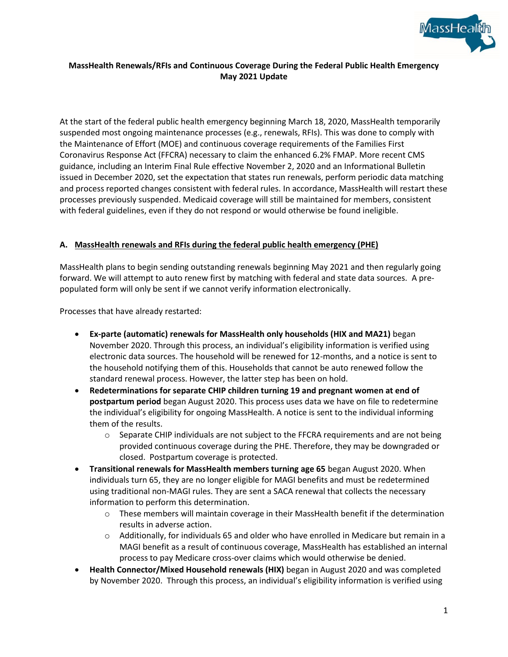

# **MassHealth Renewals/RFIs and Continuous Coverage During the Federal Public Health Emergency May 2021 Update**

At the start of the federal public health emergency beginning March 18, 2020, MassHealth temporarily suspended most ongoing maintenance processes (e.g., renewals, RFIs). This was done to comply with the Maintenance of Effort (MOE) and continuous coverage requirements of the Families First Coronavirus Response Act (FFCRA) necessary to claim the enhanced 6.2% FMAP. More recent CMS guidance, including an Interim Final Rule effective November 2, 2020 and an Informational Bulletin issued in December 2020, set the expectation that states run renewals, perform periodic data matching and process reported changes consistent with federal rules. In accordance, MassHealth will restart these processes previously suspended. Medicaid coverage will still be maintained for members, consistent with federal guidelines, even if they do not respond or would otherwise be found ineligible.

## **A. MassHealth renewals and RFIs during the federal public health emergency (PHE)**

MassHealth plans to begin sending outstanding renewals beginning May 2021 and then regularly going forward. We will attempt to auto renew first by matching with federal and state data sources. A prepopulated form will only be sent if we cannot verify information electronically.

Processes that have already restarted:

- **Ex-parte (automatic) renewals for MassHealth only households (HIX and MA21)** began November 2020. Through this process, an individual's eligibility information is verified using electronic data sources. The household will be renewed for 12-months, and a notice is sent to the household notifying them of this. Households that cannot be auto renewed follow the standard renewal process. However, the latter step has been on hold.
- **Redeterminations for separate CHIP children turning 19 and pregnant women at end of postpartum period** began August 2020. This process uses data we have on file to redetermine the individual's eligibility for ongoing MassHealth. A notice is sent to the individual informing them of the results.
	- $\circ$  Separate CHIP individuals are not subject to the FFCRA requirements and are not being provided continuous coverage during the PHE. Therefore, they may be downgraded or closed. Postpartum coverage is protected.
- **Transitional renewals for MassHealth members turning age 65** began August 2020. When individuals turn 65, they are no longer eligible for MAGI benefits and must be redetermined using traditional non-MAGI rules. They are sent a SACA renewal that collects the necessary information to perform this determination.
	- o These members will maintain coverage in their MassHealth benefit if the determination results in adverse action.
	- $\circ$  Additionally, for individuals 65 and older who have enrolled in Medicare but remain in a MAGI benefit as a result of continuous coverage, MassHealth has established an internal process to pay Medicare cross-over claims which would otherwise be denied.
- **Health Connector/Mixed Household renewals (HIX)** began in August 2020 and was completed by November 2020. Through this process, an individual's eligibility information is verified using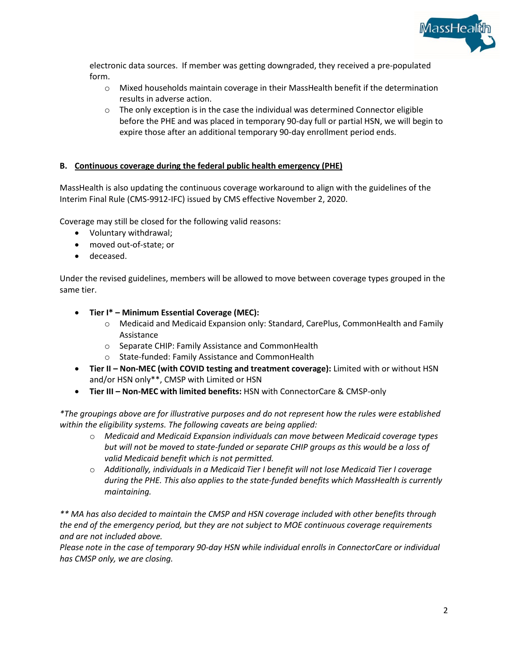

electronic data sources. If member was getting downgraded, they received a pre-populated form.

- $\circ$  Mixed households maintain coverage in their MassHealth benefit if the determination results in adverse action.
- $\circ$  The only exception is in the case the individual was determined Connector eligible before the PHE and was placed in temporary 90-day full or partial HSN, we will begin to expire those after an additional temporary 90-day enrollment period ends.

## **B. Continuous coverage during the federal public health emergency (PHE)**

MassHealth is also updating the continuous coverage workaround to align with the guidelines of the Interim Final Rule (CMS-9912-IFC) issued by CMS effective November 2, 2020.

Coverage may still be closed for the following valid reasons:

- Voluntary withdrawal;
- moved out-of-state; or
- deceased.

Under the revised guidelines, members will be allowed to move between coverage types grouped in the same tier.

- **Tier I\* – Minimum Essential Coverage (MEC):** 
	- o Medicaid and Medicaid Expansion only: Standard, CarePlus, CommonHealth and Family Assistance
	- o Separate CHIP: Family Assistance and CommonHealth
	- o State-funded: Family Assistance and CommonHealth
- **Tier II – Non-MEC (with COVID testing and treatment coverage):** Limited with or without HSN and/or HSN only\*\*, CMSP with Limited or HSN
- **Tier III – Non-MEC with limited benefits:** HSN with ConnectorCare & CMSP-only

*\*The groupings above are for illustrative purposes and do not represent how the rules were established within the eligibility systems. The following caveats are being applied:* 

- o *Medicaid and Medicaid Expansion individuals can move between Medicaid coverage types but will not be moved to state-funded or separate CHIP groups as this would be a loss of valid Medicaid benefit which is not permitted.*
- o *Additionally, individuals in a Medicaid Tier I benefit will not lose Medicaid Tier I coverage during the PHE. This also applies to the state-funded benefits which MassHealth is currently maintaining.*

*\*\* MA has also decided to maintain the CMSP and HSN coverage included with other benefits through the end of the emergency period, but they are not subject to MOE continuous coverage requirements and are not included above.* 

*Please note in the case of temporary 90-day HSN while individual enrolls in ConnectorCare or individual has CMSP only, we are closing.*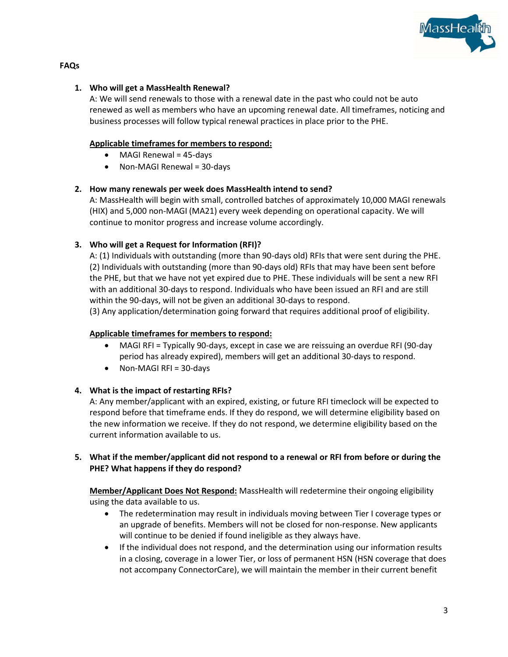

### **FAQs**

#### **1. Who will get a MassHealth Renewal?**

A: We will send renewals to those with a renewal date in the past who could not be auto renewed as well as members who have an upcoming renewal date. All timeframes, noticing and business processes will follow typical renewal practices in place prior to the PHE.

## **Applicable timeframes for members to respond:**

- MAGI Renewal = 45-days
- Non-MAGI Renewal = 30-days

## **2. How many renewals per week does MassHealth intend to send?**

A: MassHealth will begin with small, controlled batches of approximately 10,000 MAGI renewals (HIX) and 5,000 non-MAGI (MA21) every week depending on operational capacity. We will continue to monitor progress and increase volume accordingly.

## **3. Who will get a Request for Information (RFI)?**

A: (1) Individuals with outstanding (more than 90-days old) RFIs that were sent during the PHE. (2) Individuals with outstanding (more than 90-days old) RFIs that may have been sent before the PHE, but that we have not yet expired due to PHE. These individuals will be sent a new RFI with an additional 30-days to respond. Individuals who have been issued an RFI and are still within the 90-days, will not be given an additional 30-days to respond.

(3) Any application/determination going forward that requires additional proof of eligibility.

#### **Applicable timeframes for members to respond:**

- MAGI RFI = Typically 90-days, except in case we are reissuing an overdue RFI (90-day period has already expired), members will get an additional 30-days to respond.
- Non-MAGI RFI = 30-days

# **4. What is the impact of restarting RFIs?**

A: Any member/applicant with an expired, existing, or future RFI timeclock will be expected to respond before that timeframe ends. If they do respond, we will determine eligibility based on the new information we receive. If they do not respond, we determine eligibility based on the current information available to us.

## **5. What if the member/applicant did not respond to a renewal or RFI from before or during the PHE? What happens if they do respond?**

**Member/Applicant Does Not Respond:** MassHealth will redetermine their ongoing eligibility using the data available to us.

- The redetermination may result in individuals moving between Tier I coverage types or an upgrade of benefits. Members will not be closed for non-response. New applicants will continue to be denied if found ineligible as they always have.
- If the individual does not respond, and the determination using our information results in a closing, coverage in a lower Tier, or loss of permanent HSN (HSN coverage that does not accompany ConnectorCare), we will maintain the member in their current benefit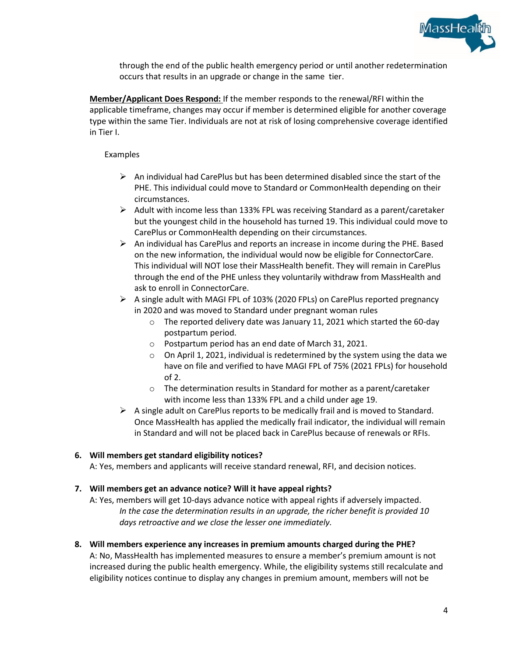

through the end of the public health emergency period or until another redetermination occurs that results in an upgrade or change in the same tier.

**Member/Applicant Does Respond:** If the member responds to the renewal/RFI within the applicable timeframe, changes may occur if member is determined eligible for another coverage type within the same Tier. Individuals are not at risk of losing comprehensive coverage identified in Tier I.

### Examples

- $\triangleright$  An individual had CarePlus but has been determined disabled since the start of the PHE. This individual could move to Standard or CommonHealth depending on their circumstances.
- $\triangleright$  Adult with income less than 133% FPL was receiving Standard as a parent/caretaker but the youngest child in the household has turned 19. This individual could move to CarePlus or CommonHealth depending on their circumstances.
- $\triangleright$  An individual has CarePlus and reports an increase in income during the PHE. Based on the new information, the individual would now be eligible for ConnectorCare. This individual will NOT lose their MassHealth benefit. They will remain in CarePlus through the end of the PHE unless they voluntarily withdraw from MassHealth and ask to enroll in ConnectorCare.
- $\triangleright$  A single adult with MAGI FPL of 103% (2020 FPLs) on CarePlus reported pregnancy in 2020 and was moved to Standard under pregnant woman rules
	- $\circ$  The reported delivery date was January 11, 2021 which started the 60-day postpartum period.
	- o Postpartum period has an end date of March 31, 2021.
	- o On April 1, 2021, individual is redetermined by the system using the data we have on file and verified to have MAGI FPL of 75% (2021 FPLs) for household of 2.
	- o The determination results in Standard for mother as a parent/caretaker with income less than 133% FPL and a child under age 19.
- $\triangleright$  A single adult on CarePlus reports to be medically frail and is moved to Standard. Once MassHealth has applied the medically frail indicator, the individual will remain in Standard and will not be placed back in CarePlus because of renewals or RFIs.

#### **6. Will members get standard eligibility notices?**

A: Yes, members and applicants will receive standard renewal, RFI, and decision notices.

#### **7. Will members get an advance notice? Will it have appeal rights?**

A: Yes, members will get 10-days advance notice with appeal rights if adversely impacted. *In the case the determination results in an upgrade, the richer benefit is provided 10 days retroactive and we close the lesser one immediately.* 

#### **8. Will members experience any increases in premium amounts charged during the PHE?**

A: No, MassHealth has implemented measures to ensure a member's premium amount is not increased during the public health emergency. While, the eligibility systems still recalculate and eligibility notices continue to display any changes in premium amount, members will not be